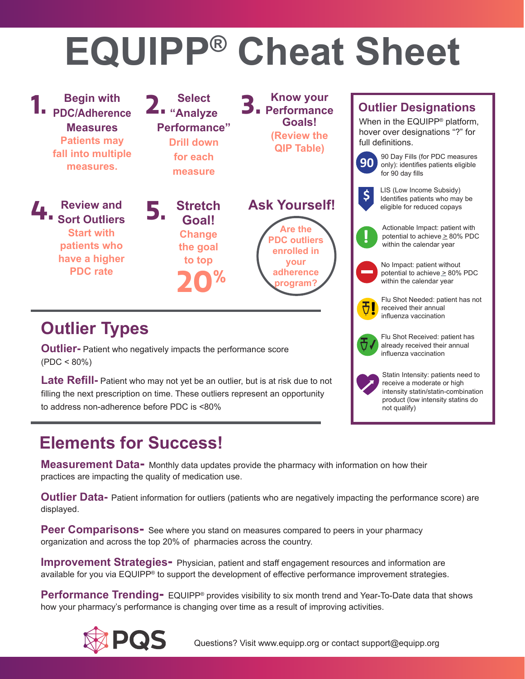## **EQUIPP® Cheat Sheet**



#### **Elements for Success!**

**Measurement Data-** Monthly data updates provide the pharmacy with information on how their practices are impacting the quality of medication use.

**Outlier Data-** Patient information for outliers (patients who are negatively impacting the performance score) are displayed.

**Peer Comparisons-** See where you stand on measures compared to peers in your pharmacy organization and across the top 20% of pharmacies across the country.

**Improvement Strategies-** Physician, patient and staff engagement resources and information are available for you via EQUIPP® to support the development of effective performance improvement strategies.

**Performance Trending-** EQUIPP® provides visibility to six month trend and Year-To-Date data that shows how your pharmacy's performance is changing over time as a result of improving activities.



Questions? Visit www.equipp.org or contact support@equipp.org